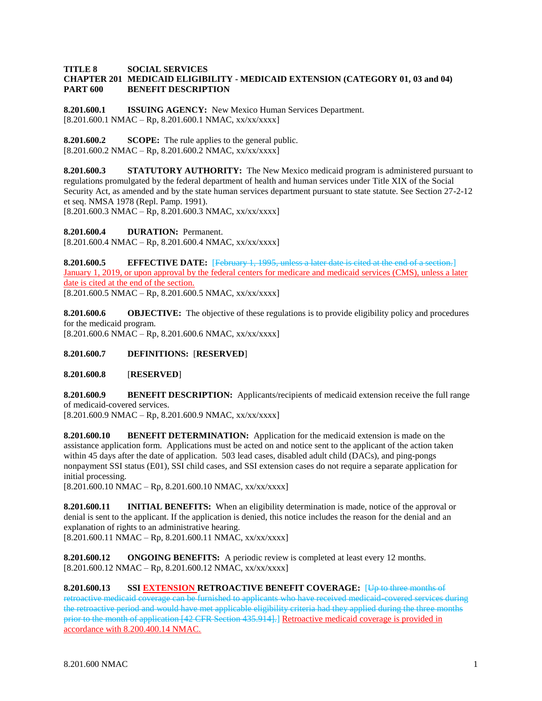## **TITLE 8 SOCIAL SERVICES CHAPTER 201 MEDICAID ELIGIBILITY - MEDICAID EXTENSION (CATEGORY 01, 03 and 04) PART 600 BENEFIT DESCRIPTION**

**8.201.600.1 ISSUING AGENCY:** New Mexico Human Services Department.  $[8.201.600.1 \text{ NMAC} - \text{Rp}, 8.201.600.1 \text{ NMAC}, xx/xxxxx]$ 

**8.201.600.2 SCOPE:** The rule applies to the general public.  $[8.201.600.2 NMAC - Rp, 8.201.600.2 NMAC, xx/xx/xxx]$ 

**8.201.600.3 STATUTORY AUTHORITY:** The New Mexico medicaid program is administered pursuant to regulations promulgated by the federal department of health and human services under Title XIX of the Social Security Act, as amended and by the state human services department pursuant to state statute. See Section 27-2-12 et seq. NMSA 1978 (Repl. Pamp. 1991).  $[8.201.600.3 \text{ NMAC} - \text{Rp}, 8.201.600.3 \text{ NMAC}, xx/xxxxx]$ 

**8.201.600.4 DURATION:** Permanent.  $[8.201.600.4 NMAC - Rp, 8.201.600.4 NMAC, xx/xx/xxxx]$ 

**8.201.600.5 EFFECTIVE DATE:** [February 1, 1995, unless a later date is cited at the end of a section.] January 1, 2019, or upon approval by the federal centers for medicare and medicaid services (CMS), unless a later date is cited at the end of the section.  $[8.201.600.5 \text{ NMAC} - \text{Rp}, 8.201.600.5 \text{ NMAC}, xx/xxxxx]$ 

**8.201.600.6 OBJECTIVE:** The objective of these regulations is to provide eligibility policy and procedures for the medicaid program.  $[8.201.600.6 NMAC - Rp, 8.201.600.6 NMAC, xx/xx/xxxx]$ 

# **8.201.600.7 DEFINITIONS:** [**RESERVED**]

# **8.201.600.8** [**RESERVED**]

**8.201.600.9 BENEFIT DESCRIPTION:** Applicants/recipients of medicaid extension receive the full range of medicaid-covered services.

 $[8.201.600.9 \text{ NMAC} - \text{Rp}, 8.201.600.9 \text{ NMAC}, xx/xxxxx]$ 

**8.201.600.10 BENEFIT DETERMINATION:** Application for the medicaid extension is made on the assistance application form. Applications must be acted on and notice sent to the applicant of the action taken within 45 days after the date of application. 503 lead cases, disabled adult child (DACs), and ping-pongs nonpayment SSI status (E01), SSI child cases, and SSI extension cases do not require a separate application for initial processing.

[8.201.600.10 NMAC – Rp, 8.201.600.10 NMAC, xx/xx/xxxx]

**8.201.600.11 INITIAL BENEFITS:** When an eligibility determination is made, notice of the approval or denial is sent to the applicant. If the application is denied, this notice includes the reason for the denial and an explanation of rights to an administrative hearing.  $[8.201.600.11 \text{ NMAC} - \text{Rp}, 8.201.600.11 \text{ NMAC}, xx/xx/xxxx]$ 

**8.201.600.12 ONGOING BENEFITS:** A periodic review is completed at least every 12 months.  $[8.201.600.12 \text{ NMAC} - \text{Rp}, 8.201.600.12 \text{ NMAC}, xx/xx/xxxx]$ 

**8.201.600.13 SSI EXTENSION RETROACTIVE BENEFIT COVERAGE:** [Up to three months of retroactive medicaid coverage can be furnished to applicants who have received medicaid-covered services during the retroactive period and would have met applicable eligibility criteria had they applied during the three months prior to the month of application [42 CFR Section 435.914].] Retroactive medicaid coverage is provided in accordance with 8.200.400.14 NMAC.